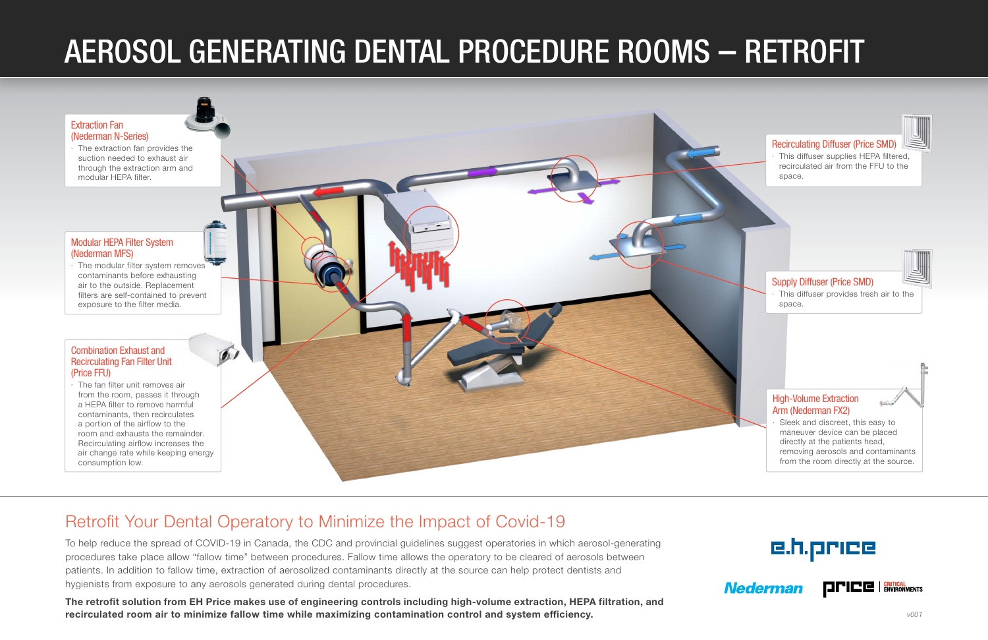## Retrofit Your Dental Operatory to Minimize the Impact of Covid-19

To help reduce the spread of COVID-19 in Canada, the CDC and provincial guidelines suggest operatories in which aerosol-generating procedures take place allow "fallow time" between procedures. Fallow time allows the operatory to be cleared of aerosols between patients. In addition to fallow time, extraction of aerosolized contaminants directly at the source can help protect dentists and hygienists from exposure to any aerosols generated during dental procedures.

The retrofit solution from EH Price makes use of engineering controls including high-volume extraction, HEPA filtration, and recirculated room air to minimize fallow time while maximizing contamination control and system efficiency.

## e.h.price



# AEROSOL GENERATING DENTAL PROCEDURE ROOMS – RETROFIT

#### [Combination Exhaust and](https://www.priceindustries.com/criticalenvironments/products/fan-filter-unit)  [Recirculating Fan Filter Unit](https://www.priceindustries.com/criticalenvironments/products/fan-filter-unit)  [\(Price FFU\)](https://www.priceindustries.com/criticalenvironments/products/fan-filter-unit)

· The fan filter unit removes air from the room, passes it through a HEPA filter to remove harmful contaminants, then recirculates a portion of the airflow to the room and exhausts the remainder. Recirculating airflow increases the air change rate while keeping energy consumption low.

#### [Modular HEPA Filter System](https://www.nederman.com/en/products/mobile-filters-and-compact-units/modular-filter-system-mfs-/mfs-modular-filter-system/c-24/c-1740/p-89233)  [\(Nederman MFS\)](https://www.nederman.com/en/products/mobile-filters-and-compact-units/modular-filter-system-mfs-/mfs-modular-filter-system/c-24/c-1740/p-89233)

· The modular filter system removes contaminants before exhausting air to the outside. Replacement filters are self-contained to prevent exposure to the filter media.



#### [Extraction Fan](https://www.nederman.com/en/products/fans-and-pumps)  (Nederman N-Series)

· The extraction fan provides the suction needed to exhaust air through the extraction arm and modular HEPA filter.

*v001*